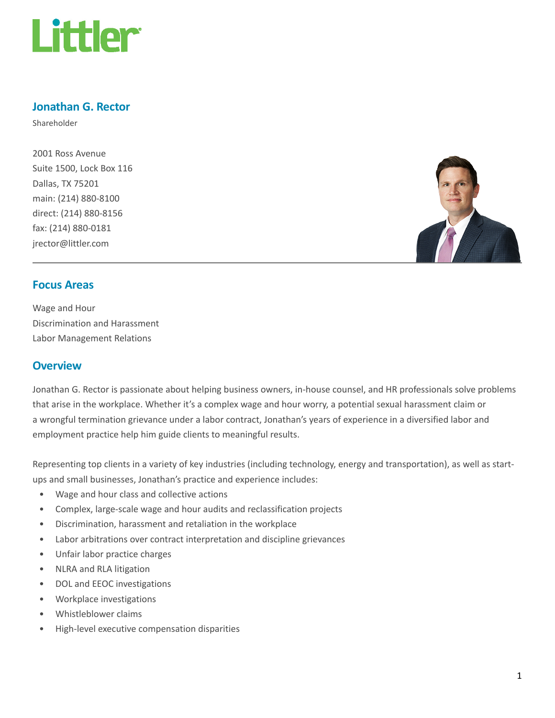

# Jonathan G. Rector

Shareholder

2001 Ross Avenue Suite 1500, Lock Box 116 Dallas, TX 75201 main: (214) 880-8100 direct: (214) 880-8156 fax: (214) 880-0181 jrector@littler.com



#### Focus Areas

Wage and Hour Discrimination and Harassment Labor Management Relations

### **Overview**

Jonathan G. Rector is passionate about helping business owners, in-house counsel, and HR professionals solve problems that arise in the workplace. Whether it's a complex wage and hour worry, a potential sexual harassment claim or a wrongful termination grievance under a labor contract, Jonathan's years of experience in a diversified labor and employment practice help him guide clients to meaningful results.

Representing top clients in a variety of key industries (including technology, energy and transportation), as well as startups and small businesses, Jonathan's practice and experience includes:

- Wage and hour class and collective actions
- Complex, large-scale wage and hour audits and reclassification projects
- Discrimination, harassment and retaliation in the workplace
- Labor arbitrations over contract interpretation and discipline grievances
- Unfair labor practice charges
- NLRA and RLA litigation
- DOL and EEOC investigations
- Workplace investigations
- Whistleblower claims
- High-level executive compensation disparities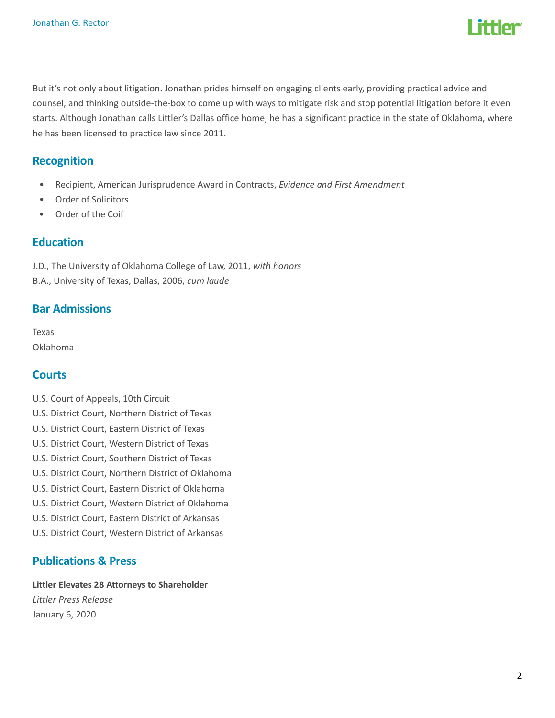

But it's not only about litigation. Jonathan prides himself on engaging clients early, providing practical advice and counsel, and thinking outside-the-box to come up with ways to mitigate risk and stop potential litigation before it even starts. Although Jonathan calls Littler's Dallas office home, he has a significant practice in the state of Oklahoma, where he has been licensed to practice law since 2011.

#### **Recognition**

- Recipient, American Jurisprudence Award in Contracts, Evidence and First Amendment
- Order of Solicitors
- Order of the Coif

#### Education

J.D., The University of Oklahoma College of Law, 2011, with honors

B.A., University of Texas, Dallas, 2006, cum laude

#### Bar Admissions

Texas Oklahoma

## **Courts**

- U.S. Court of Appeals, 10th Circuit
- U.S. District Court, Northern District of Texas
- U.S. District Court, Eastern District of Texas
- U.S. District Court, Western District of Texas
- U.S. District Court, Southern District of Texas
- U.S. District Court, Northern District of Oklahoma
- U.S. District Court, Eastern District of Oklahoma
- U.S. District Court, Western District of Oklahoma
- U.S. District Court, Eastern District of Arkansas
- U.S. District Court, Western District of Arkansas

#### Publications & Press

#### Littler Elevates 28 Attorneys to Shareholder

Littler Press Release January 6, 2020